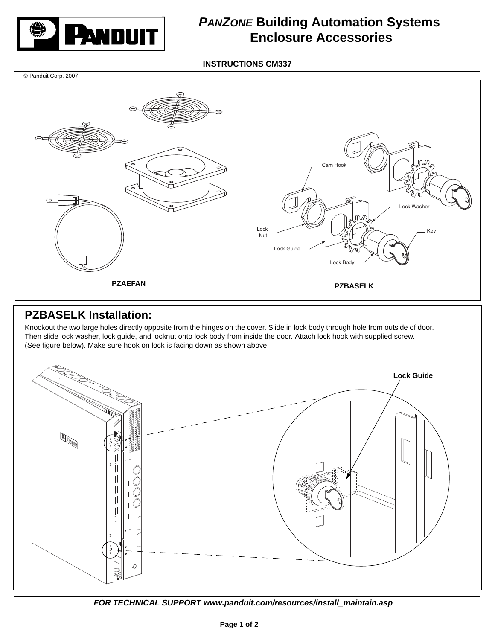

## *PANZONE* **Building Automation Systems Enclosure Accessories**

**INSTRUCTIONS CM337**



## **PZBASELK Installation:**

Knockout the two large holes directly opposite from the hinges on the cover. Slide in lock body through hole from outside of door. Then slide lock washer, lock guide, and locknut onto lock body from inside the door. Attach lock hook with supplied screw. (See figure below). Make sure hook on lock is facing down as shown above.



*FOR TECHNICAL SUPPORT www.panduit.com/resources/install\_maintain.asp*